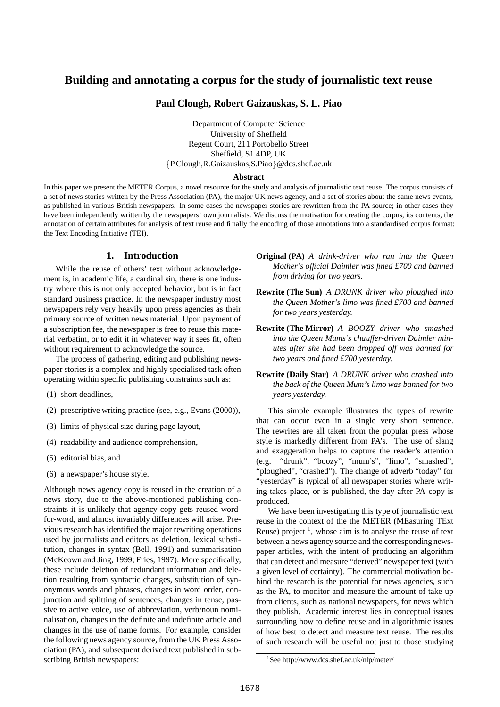# **Building and annotating a corpus for the study of journalistic text reuse**

**Paul Clough, Robert Gaizauskas, S. L. Piao**

Department of Computer Science University of Sheffield Regent Court, 211 Portobello Street Sheffield, S1 4DP, UK P.Clough,R.Gaizauskas,S.Piao @dcs.shef.ac.uk

#### **Abstract**

In this paper we present the METER Corpus, a novel resource for the study and analysis of journalistic text reuse. The corpus consists of a set of news stories written by the Press Association (PA), the major UK news agency, and a set of stories about the same news events, as published in various British newspapers. In some cases the newspaper stories are rewritten from the PA source; in other cases they have been independently written by the newspapers' own journalists. We discuss the motivation for creating the corpus, its contents, the annotation of certain attributes for analysis of text reuse and finally the encoding of those annotations into a standardised corpus format: the Text Encoding Initiative (TEI).

# **1. Introduction**

While the reuse of others' text without acknowledgement is, in academic life, a cardinal sin, there is one industry where this is not only accepted behavior, but is in fact standard business practice. In the newspaper industry most newspapers rely very heavily upon press agencies as their primary source of written news material. Upon payment of a subscription fee, the newspaper is free to reuse this material verbatim, or to edit it in whatever way it sees fit, often without requirement to acknowledge the source.

The process of gathering, editing and publishing newspaper stories is a complex and highly specialised task often operating within specific publishing constraints such as:

- (1) short deadlines,
- (2) prescriptive writing practice (see, e.g., Evans (2000)),
- (3) limits of physical size during page layout,
- (4) readability and audience comprehension,
- (5) editorial bias, and
- (6) a newspaper's house style.

Although news agency copy is reused in the creation of a news story, due to the above-mentioned publishing constraints it is unlikely that agency copy gets reused wordfor-word, and almost invariably differences will arise. Previous research has identified the major rewriting operations used by journalists and editors as deletion, lexical substitution, changes in syntax (Bell, 1991) and summarisation (McKeown and Jing, 1999; Fries, 1997). More specifically, these include deletion of redundant information and deletion resulting from syntactic changes, substitution of synonymous words and phrases, changes in word order, conjunction and splitting of sentences, changes in tense, passive to active voice, use of abbreviation, verb/noun nominalisation, changes in the definite and indefinite article and changes in the use of name forms. For example, consider the following news agency source, from the UK Press Association (PA), and subsequent derived text published in subscribing British newspapers:

- **Original (PA)** *A drink-driver who ran into the Queen Mother's official Daimler was fined £700 and banned from driving for two years.*
- **Rewrite (The Sun)** *A DRUNK driver who ploughed into the Queen Mother's limo was fined £700 and banned for two years yesterday.*
- **Rewrite (The Mirror)** *A BOOZY driver who smashed into the Queen Mums's chauffer-driven Daimler minutes after she had been dropped off was banned for two years and fined £700 yesterday.*
- **Rewrite (Daily Star)** *A DRUNK driver who crashed into the back of the Queen Mum's limo was banned for two years yesterday.*

This simple example illustrates the types of rewrite that can occur even in a single very short sentence. The rewrites are all taken from the popular press whose style is markedly different from PA's. The use of slang and exaggeration helps to capture the reader's attention (e.g. "drunk", "boozy", "mum's", "limo", "smashed", "ploughed", "crashed"). The change of adverb "today" for "yesterday" is typical of all newspaper stories where writing takes place, or is published, the day after PA copy is produced.

We have been investigating this type of journalistic text reuse in the context of the the METER (MEasuring TExt Reuse) project  $<sup>1</sup>$ , whose aim is to analyse the reuse of text</sup> between a news agency source and the corresponding newspaper articles, with the intent of producing an algorithm that can detect and measure "derived" newspaper text (with a given level of certainty). The commercial motivation behind the research is the potential for news agencies, such as the PA, to monitor and measure the amount of take-up from clients, such as national newspapers, for news which they publish. Academic interest lies in conceptual issues surrounding how to define reuse and in algorithmic issues of how best to detect and measure text reuse. The results of such research will be useful not just to those studying

<sup>1</sup>See http://www.dcs.shef.ac.uk/nlp/meter/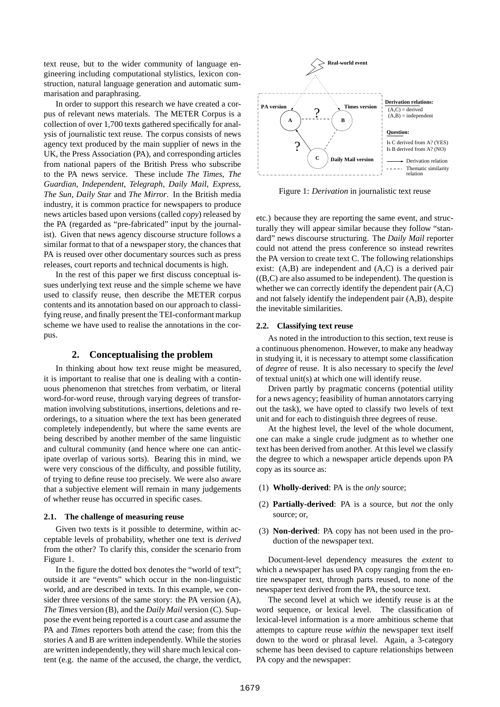text reuse, but to the wider community of language engineering including computational stylistics, lexicon construction, natural language generation and automatic summarisation and paraphrasing.

In order to support this research we have created a corpus of relevant news materials. The METER Corpus is a collection of over 1,700 texts gathered specifically for analysis of journalistic text reuse. The corpus consists of news agency text produced by the main supplier of news in the UK, the Press Association (PA), and corresponding articles from national papers of the British Press who subscribe to the PA news service. These include *The Times*, *The Guardian*, *Independent*, *Telegraph*, *Daily Mail*, *Express*, *The Sun*, *Daily Star* and *The Mirror*. In the British media industry, it is common practice for newspapers to produce news articles based upon versions (called *copy*) released by the PA (regarded as "pre-fabricated" input by the journalist). Given that news agency discourse structure follows a similar format to that of a newspaper story, the chances that PA is reused over other documentary sources such as press releases, court reports and technical documents is high.

In the rest of this paper we first discuss conceptual issues underlying text reuse and the simple scheme we have used to classify reuse, then describe the METER corpus contents and its annotation based on our approach to classifying reuse, and finally present the TEI-conformant markup scheme we have used to realise the annotations in the corpus.

### **2. Conceptualising the problem**

In thinking about how text reuse might be measured, it is important to realise that one is dealing with a continuous phenomenon that stretches from verbatim, or literal word-for-word reuse, through varying degrees of transformation involving substitutions, insertions, deletions and reorderings, to a situation where the text has been generated completely independently, but where the same events are being described by another member of the same linguistic and cultural community (and hence where one can anticipate overlap of various sorts). Bearing this in mind, we were very conscious of the difficulty, and possible futility, of trying to define reuse too precisely. We were also aware that a subjective element will remain in many judgements of whether reuse has occurred in specific cases.

#### **2.1. The challenge of measuring reuse**

Given two texts is it possible to determine, within acceptable levels of probability, whether one text is *derived* from the other? To clarify this, consider the scenario from Figure 1.

In the figure the dotted box denotes the "world of text"; outside it are "events" which occur in the non-linguistic world, and are described in texts. In this example, we consider three versions of the same story: the PA version (A), *The Times* version (B), and the *Daily Mail* version (C). Suppose the event being reported is a court case and assume the PA and *Times* reporters both attend the case; from this the stories A and B are written independently. While the stories are written independently, they will share much lexical content (e.g. the name of the accused, the charge, the verdict,



Figure 1: *Derivation* in journalistic text reuse

etc.) because they are reporting the same event, and structurally they will appear similar because they follow "standard" news discourse structuring. The *Daily Mail* reporter could not attend the press conference so instead rewrites the PA version to create text C. The following relationships exist: (A,B) are independent and (A,C) is a derived pair  $((B,C)$  are also assumed to be independent). The question is whether we can correctly identify the dependent pair (A,C) and not falsely identify the independent pair (A,B), despite the inevitable similarities.

### **2.2. Classifying text reuse**

As noted in the introduction to this section, text reuse is a continuous phenomenon. However, to make any headway in studying it, it is necessary to attempt some classification of *degree* of reuse. It is also necessary to specify the *level* of textual unit(s) at which one will identify reuse.

Driven partly by pragmatic concerns (potential utility for a news agency; feasibility of human annotators carrying out the task), we have opted to classify two levels of text unit and for each to distinguish three degrees of reuse.

At the highest level, the level of the whole document, one can make a single crude judgment as to whether one text has been derived from another. At this level we classify the degree to which a newspaper article depends upon PA copy as its source as:

- (1) **Wholly-derived**: PA is the *only* source;
- (2) **Partially-derived**: PA is a source, but *not* the only source; or,
- (3) **Non-derived**: PA copy has not been used in the production of the newspaper text.

Document-level dependency measures the *extent* to which a newspaper has used PA copy ranging from the entire newspaper text, through parts reused, to none of the newspaper text derived from the PA, the source text.

The second level at which we identify reuse is at the word sequence, or lexical level. The classification of lexical-level information is a more ambitious scheme that attempts to capture reuse *within* the newspaper text itself down to the word or phrasal level. Again, a 3-category scheme has been devised to capture relationships between PA copy and the newspaper: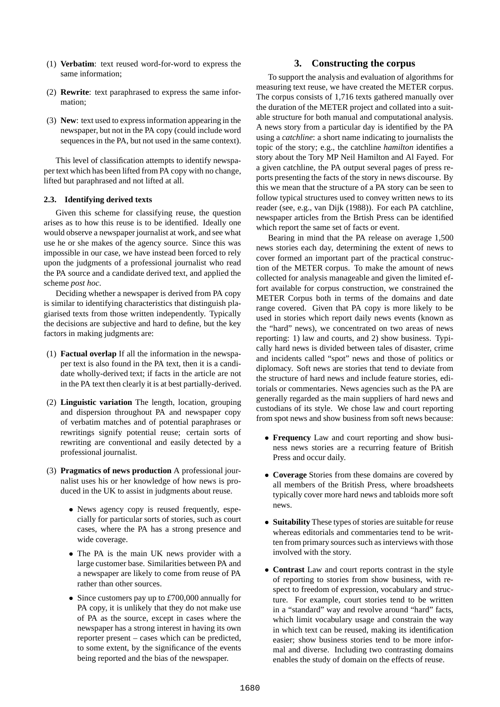- (1) **Verbatim**: text reused word-for-word to express the same information;
- (2) **Rewrite**: text paraphrased to express the same information;
- (3) **New**: text used to expressinformation appearing in the newspaper, but not in the PA copy (could include word sequences in the PA, but not used in the same context).

This level of classification attempts to identify newspaper text which has been lifted from PA copy with no change, lifted but paraphrased and not lifted at all.

### **2.3. Identifying derived texts**

Given this scheme for classifying reuse, the question arises as to how this reuse is to be identified. Ideally one would observe a newspaper journalist at work, and see what use he or she makes of the agency source. Since this was impossible in our case, we have instead been forced to rely upon the judgments of a professional journalist who read the PA source and a candidate derived text, and applied the scheme *post hoc*.

Deciding whether a newspaper is derived from PA copy is similar to identifying characteristics that distinguish plagiarised texts from those written independently. Typically the decisions are subjective and hard to define, but the key factors in making judgments are:

- (1) **Factual overlap** If all the information in the newspaper text is also found in the PA text, then it is a candidate wholly-derived text; if facts in the article are not in the PA text then clearly it is at best partially-derived.
- (2) **Linguistic variation** The length, location, grouping and dispersion throughout PA and newspaper copy of verbatim matches and of potential paraphrases or rewritings signify potential reuse; certain sorts of rewriting are conventional and easily detected by a professional journalist.
- (3) **Pragmatics of news production** A professional journalist uses his or her knowledge of how news is produced in the UK to assist in judgments about reuse.
	- News agency copy is reused frequently, especially for particular sorts of stories, such as court cases, where the PA has a strong presence and wide coverage.
	- The PA is the main UK news provider with a large customer base. Similarities between PA and a newspaper are likely to come from reuse of PA rather than other sources.
	- Since customers pay up to *£*700,000 annually for PA copy, it is unlikely that they do not make use of PA as the source, except in cases where the newspaper has a strong interest in having its own reporter present – cases which can be predicted, to some extent, by the significance of the events being reported and the bias of the newspaper.

# **3. Constructing the corpus**

To support the analysis and evaluation of algorithms for measuring text reuse, we have created the METER corpus. The corpus consists of 1,716 texts gathered manually over the duration of the METER project and collated into a suitable structure for both manual and computational analysis. A news story from a particular day is identified by the PA using a *catchline*: a short name indicating to journalists the topic of the story; e.g., the catchline *hamilton* identifies a story about the Tory MP Neil Hamilton and Al Fayed. For a given catchline, the PA output several pages of press reports presenting the facts of the story in news discourse. By this we mean that the structure of a PA story can be seen to follow typical structures used to convey written news to its reader (see, e.g., van Dijk (1988)). For each PA catchline, newspaper articles from the Brtish Press can be identified which report the same set of facts or event.

Bearing in mind that the PA release on average 1,500 news stories each day, determining the extent of news to cover formed an important part of the practical construction of the METER corpus. To make the amount of news collected for analysis manageable and given the limited effort available for corpus construction, we constrained the METER Corpus both in terms of the domains and date range covered. Given that PA copy is more likely to be used in stories which report daily news events (known as the "hard" news), we concentrated on two areas of news reporting: 1) law and courts, and 2) show business. Typically hard news is divided between tales of disaster, crime and incidents called "spot" news and those of politics or diplomacy. Soft news are stories that tend to deviate from the structure of hard news and include feature stories, editorials or commentaries. News agencies such as the PA are generally regarded as the main suppliers of hard news and custodians of its style. We chose law and court reporting from spot news and show business from soft news because:

- **Frequency** Law and court reporting and show business news stories are a recurring feature of British Press and occur daily.
- **Coverage** Stories from these domains are covered by all members of the British Press, where broadsheets typically cover more hard news and tabloids more soft news.
- **Suitability** These types of stories are suitable for reuse whereas editorials and commentaries tend to be written from primary sources such as interviews with those involved with the story.
- **Contrast** Law and court reports contrast in the style of reporting to stories from show business, with respect to freedom of expression, vocabulary and structure. For example, court stories tend to be written in a "standard" way and revolve around "hard" facts, which limit vocabulary usage and constrain the way in which text can be reused, making its identification easier; show business stories tend to be more informal and diverse. Including two contrasting domains enables the study of domain on the effects of reuse.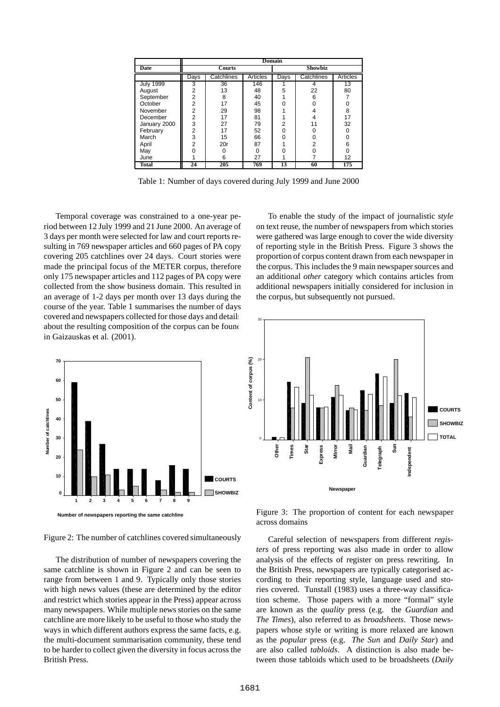|                  | <b>Domain</b>  |            |          |         |            |          |
|------------------|----------------|------------|----------|---------|------------|----------|
| Date             | <b>Courts</b>  |            |          | Showbiz |            |          |
|                  | Days           | Catchlines | Articles | Days    | Catchlines | Articles |
| <b>July 1999</b> | 3              | 36         | 146      |         |            | 13       |
| August           | 2              | 13         | 48       | 5       | 22         | 80       |
| September        | 2              | 8          | 40       |         | 6          |          |
| October          | $\overline{2}$ | 17         | 45       |         |            | Ο        |
| November         | 2              | 29         | 98       |         |            | 8        |
| December         | $\overline{2}$ | 17         | 81       |         |            | 17       |
| January 2000     | 3              | 27         | 79       | 2       |            | 32       |
| February         | $\overline{2}$ | 17         | 52       |         |            | $\Omega$ |
| March            | 3              | 15         | 66       |         |            | 0        |
| April            | 2              | 20r        | 87       |         | 2          | 6        |
| May              | U              | n          | $\Omega$ |         | O          | 0        |
| June             |                | 6          | 27       |         |            | 12       |
| Total            | 24             | 205        | 769      | 13      | 60         | 175      |

Table 1: Number of days covered during July 1999 and June 2000

Temporal coverage was constrained to a one-year period between 12 July 1999 and 21 June 2000. An average of 3 days per month were selected for law and court reports resulting in 769 newspaper articles and 660 pages of PA copy covering 205 catchlines over 24 days. Court stories were made the principal focus of the METER corpus, therefore only 175 newspaper articles and 112 pages of PA copy were collected from the show business domain. This resulted in an average of 1-2 days per month over 13 days during the course of the year. Table 1 summarises the number of days covered and newspapers collected for those days and details about the resulting composition of the corpus can be found in Gaizauskas et al. (2001).



Figure 2: The number of catchlines covered simultaneously

The distribution of number of newspapers covering the same catchline is shown in Figure 2 and can be seen to range from between 1 and 9. Typically only those stories with high news values (these are determined by the editor and restrict which stories appear in the Press) appear across many newspapers. While multiple news stories on the same catchline are more likely to be useful to those who study the ways in which different authors express the same facts, e.g. the multi-document summarisation community, these tend to be harder to collect given the diversity in focus across the British Press.

To enable the study of the impact of journalistic *style* on text reuse, the number of newspapers from which stories were gathered was large enough to cover the wide diversity of reporting style in the British Press. Figure 3 shows the proportion of corpus content drawn from each newspaper in the corpus. This includes the 9 main newspaper sources and an additional *other* category which contains articles from additional newspapers initially considered for inclusion in the corpus, but subsequently not pursued.



Figure 3: The proportion of content for each newspaper across domains

Careful selection of newspapers from different *registers* of press reporting was also made in order to allow analysis of the effects of register on press rewriting. In the British Press, newspapers are typically categorised according to their reporting style, language used and stories covered. Tunstall (1983) uses a three-way classification scheme. Those papers with a more "formal" style are known as the *quality* press (e.g. the *Guardian* and *The Times*), also referred to as *broadsheets*. Those newspapers whose style or writing is more relaxed are known as the *popular* press (e.g. *The Sun* and *Daily Star*) and are also called *tabloids*. A distinction is also made between those tabloids which used to be broadsheets (*Daily*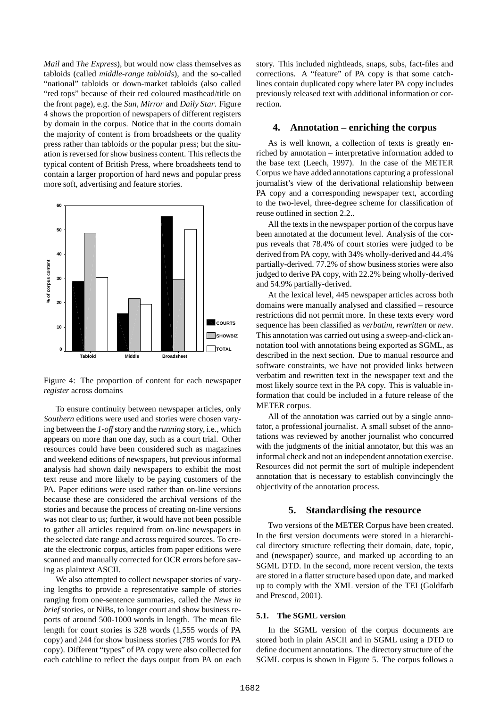*Mail* and *The Express*), but would now class themselves as tabloids (called *middle-range tabloids*), and the so-called "national" tabloids or down-market tabloids (also called "red tops" because of their red coloured masthead/title on the front page), e.g. the *Sun*, *Mirror* and *Daily Star*. Figure 4 shows the proportion of newspapers of different registers by domain in the corpus. Notice that in the courts domain the majority of content is from broadsheets or the quality press rather than tabloids or the popular press; but the situation is reversed forshow business content. This reflects the typical content of British Press, where broadsheets tend to contain a larger proportion of hard news and popular press more soft, advertising and feature stories.



Figure 4: The proportion of content for each newspaper *register* across domains

To ensure continuity between newspaper articles, only *Southern* editions were used and stories were chosen varying between the *1-off*story and the *running* story, i.e., which appears on more than one day, such as a court trial. Other resources could have been considered such as magazines and weekend editions of newspapers, but previous informal analysis had shown daily newspapers to exhibit the most text reuse and more likely to be paying customers of the PA. Paper editions were used rather than on-line versions because these are considered the archival versions of the stories and because the process of creating on-line versions was not clear to us; further, it would have not been possible to gather all articles required from on-line newspapers in the selected date range and across required sources. To create the electronic corpus, articles from paper editions were scanned and manually corrected for OCR errors before saving as plaintext ASCII.

We also attempted to collect newspaper stories of varying lengths to provide a representative sample of stories ranging from one-sentence summaries, called the *News in brief* stories, or NiBs, to longer court and show business reports of around 500-1000 words in length. The mean file length for court stories is 328 words (1,555 words of PA copy) and 244 for show business stories (785 words for PA copy). Different "types" of PA copy were also collected for each catchline to reflect the days output from PA on each story. This included nightleads, snaps, subs, fact-files and corrections. A "feature" of PA copy is that some catchlines contain duplicated copy where later PA copy includes previously released text with additional information or correction.

### **4. Annotation – enriching the corpus**

As is well known, a collection of texts is greatly enriched by annotation – interpretative information added to the base text (Leech, 1997). In the case of the METER Corpus we have added annotations capturing a professional journalist's view of the derivational relationship between PA copy and a corresponding newspaper text, according to the two-level, three-degree scheme for classification of reuse outlined in section 2.2..

All the texts in the newspaper portion of the corpus have been annotated at the document level. Analysis of the corpus reveals that 78.4% of court stories were judged to be derived from PA copy, with 34% wholly-derived and 44.4% partially-derived. 77.2% of show business stories were also judged to derive PA copy, with 22.2% being wholly-derived and 54.9% partially-derived.

At the lexical level, 445 newspaper articles across both domains were manually analysed and classified – resource restrictions did not permit more. In these texts every word sequence has been classified as *verbatim*, *rewritten* or *new*. This annotation was carried out using a sweep-and-click annotation tool with annotations being exported as SGML, as described in the next section. Due to manual resource and software constraints, we have not provided links between verbatim and rewritten text in the newspaper text and the most likely source text in the PA copy. This is valuable information that could be included in a future release of the METER corpus.

All of the annotation was carried out by a single annotator, a professional journalist. A small subset of the annotations was reviewed by another journalist who concurred with the judgments of the initial annotator, but this was an informal check and not an independent annotation exercise. Resources did not permit the sort of multiple independent annotation that is necessary to establish convincingly the objectivity of the annotation process.

### **5. Standardising the resource**

Two versions of the METER Corpus have been created. In the first version documents were stored in a hierarchical directory structure reflecting their domain, date, topic, and (newspaper) source, and marked up according to an SGML DTD. In the second, more recent version, the texts are stored in a flatter structure based upon date, and marked up to comply with the XML version of the TEI (Goldfarb and Prescod, 2001).

### **5.1. The SGML version**

In the SGML version of the corpus documents are stored both in plain ASCII and in SGML using a DTD to define document annotations. The directory structure of the SGML corpus is shown in Figure 5. The corpus follows a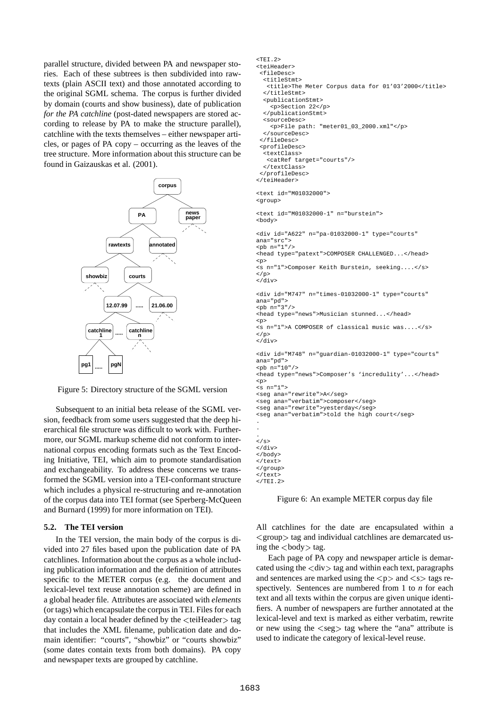parallel structure, divided between PA and newspaper stories. Each of these subtrees is then subdivided into rawtexts (plain ASCII text) and those annotated according to the original SGML schema. The corpus is further divided by domain (courts and show business), date of publication *for the PA catchline* (post-dated newspapers are stored according to release by PA to make the structure parallel), catchline with the texts themselves – either newspaper articles, or pages of PA copy – occurring as the leaves of the tree structure. More information about this structure can be found in Gaizauskas et al. (2001).



Figure 5: Directory structure of the SGML version

Subsequent to an initial beta release of the SGML version, feedback from some users suggested that the deep hierarchical file structure was difficult to work with. Furthermore, our SGML markup scheme did not conform to international corpus encoding formats such as the Text Encoding Initiative, TEI, which aim to promote standardisation and exchangeability. To address these concerns we transformed the SGML version into a TEI-conformant structure which includes a physical re-structuring and re-annotation of the corpus data into TEI format (see Sperberg-McQueen and Burnard (1999) for more information on TEI).

### **5.2. The TEI version**

In the TEI version, the main body of the corpus is divided into 27 files based upon the publication date of PA catchlines. Information about the corpus as a whole including publication information and the definition of attributes specific to the METER corpus (e.g. the document and lexical-level text reuse annotation scheme) are defined in a global header file. Attributes are associated with *elements* (or tags) which encapsulate the corpusin TEI. Files for each day contain a local header defined by the  $\lt$ teiHeader $>$  tag lex that includes the XML filename, publication date and domain identifier: "courts", "showbiz" or "courts showbiz" (some dates contain texts from both domains). PA copy and newspaper texts are grouped by catchline.

```
<TEI.2>
<teiHeader>
 <fileDesc>
  <titleStmt>
   <title>The Meter Corpus data for 01'03'2000</title>
  \epsilon/titleStmt>
  <publicationStmt>
    <p>Section 22</p>
  </publicationStmt>
  <sourceDesc>
    <p>File path: "meter01_03_2000.xml"</p>
  </sourceDesc>
 </fileDesc>
 <profileDesc>
  .<br><textClass>
   <catRef target="courts"/>
  </textClass>
 </profileDesc>
</teiHeader>
<text id="M01032000">
<group>
<text id="M01032000-1" n="burstein">
<body>
<div id="A622" n="pa-01032000-1" type="courts"
ana="src">
<br>\n<b>W</b> n = "1" /<head type="patext">COMPOSER CHALLENGED...</head>
<p>
<s n="1">Composer Keith Burstein, seeking....</s>
\langle p \rangle</div>
<div id="M747" n="times-01032000-1" type="courts"
ana="pd">
<br>\n<br>\n<math>npb</math> n = "3" /<head type="news">Musician stunned...</head>
<p>
<s n="1">A COMPOSER of classical music was....</s>
\langle/p>
\langlediv><div id="M748" n="guardian-01032000-1" type="courts"
ana="pd">
<br>\n<b>ch</b> n="10"<head type="news">Composer's 'incredulity'...</head>
<p>
<s n="1">
<seg ana="rewrite">A</seg>
<seg ana="verbatim">composer</seg>
<seg ana="rewrite">yesterday</seg>
<seg ana="verbatim">told the high court</seg>
.
.
.
</s>
</div>
</body>
</text>
</group>
</text>
</TEI.2>
```
Figure 6: An example METER corpus day file

All catchlines for the date are encapsulated within a <group> tag and individual catchlines are demarcated using the  $\langle \text{body} \rangle$  tag.

Each page of PA copy and newspaper article is demarcated using the  $\langle$  div $\rangle$  tag and within each text, paragraphs and sentences are marked using the  $\langle p \rangle$  and  $\langle s \rangle$  tags respectively. Sentences are numbered from 1 to *n* for each text and all texts within the corpus are given unique identifiers. A number of newspapers are further annotated at the lexical-level and text is marked as either verbatim, rewrite or new using the  $\langle \text{seg} \rangle$  tag where the "ana" attribute is used to indicate the category of lexical-level reuse.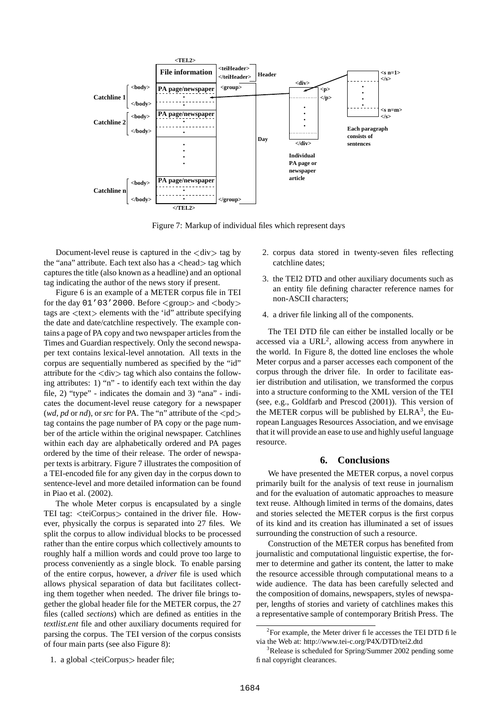

Figure 7: Markup of individual files which represent days

Document-level reuse is captured in the  $\langle \text{div} \rangle$  tag by the "ana" attribute. Each text also has a <head> tag which captures the title (also known as a headline) and an optional tag indicating the author of the news story if present.

Figure 6 is an example of a METER corpus file in TEI for the day  $01'03'2000$ . Before  $\langle\text{group}\rangle$  and  $\langle\text{body}\rangle$ tags are <text> elements with the 'id" attribute specifying the date and date/catchline respectively. The example contains a page of PA copy and two newspaper articles from the Times and Guardian respectively. Only the second newspaper text contains lexical-level annotation. All texts in the corpus are sequentially numbered as specified by the "id" attribute for the  $\langle \text{div} \rangle$  tag which also contains the following attributes: 1) "n" - to identify each text within the day file, 2) "type" - indicates the domain and 3) "ana" - indicates the document-level reuse category for a newspaper (*wd*, *pd* or *nd*), or *src* for PA. The "n" attribute of the  $\langle pd \rangle$ tag contains the page number of PA copy or the page number of the article within the original newspaper. Catchlines within each day are alphabetically ordered and PA pages ordered by the time of their release. The order of newspaper texts is arbitrary. Figure 7 illustrates the composition of a TEI-encoded file for any given day in the corpus down to sentence-level and more detailed information can be found in Piao et al. (2002).

The whole Meter corpus is encapsulated by a single TEI tag: <teiCorpus> contained in the driver file. However, physically the corpus is separated into 27 files. We split the corpus to allow individual blocks to be processed rather than the entire corpus which collectively amounts to roughly half a million words and could prove too large to process conveniently as a single block. To enable parsing of the entire corpus, however, a *driver* file is used which allows physical separation of data but facilitates collecting them together when needed. The driver file brings together the global header file for the METER corpus, the 27 files (called *sections*) which are defined as entities in the *textlist.ent* file and other auxiliary documents required for parsing the corpus. The TEI version of the corpus consists of four main parts (see also Figure 8):

- 2. corpus data stored in twenty-seven files reflecting catchline dates;
- 3. the TEI2 DTD and other auxiliary documents such as an entity file defining character reference names for non-ASCII characters;
- 4. a driver file linking all of the components.

 $pd$  the METER corpus will be published by ELRA<sup>3</sup>, the Eu-The TEI DTD file can either be installed locally or be accessed via a URL<sup>2</sup>, allowing access from anywhere in the world. In Figure 8, the dotted line encloses the whole Meter corpus and a parser accesses each component of the corpus through the driver file. In order to facilitate easier distribution and utilisation, we transformed the corpus into a structure conforming to the XML version of the TEI (see, e.g., Goldfarb and Prescod (2001)). This version of ropean Languages Resources Association, and we envisage that it will provide an ease to use and highly useful language resource.

# **6. Conclusions**

We have presented the METER corpus, a novel corpus primarily built for the analysis of text reuse in journalism and for the evaluation of automatic approaches to measure text reuse. Although limited in terms of the domains, dates and stories selected the METER corpus is the first corpus of its kind and its creation has illuminated a set of issues surrounding the construction of such a resource.

Construction of the METER corpus has benefited from journalistic and computational linguistic expertise, the former to determine and gather its content, the latter to make the resource accessible through computational means to a wide audience. The data has been carefully selected and the composition of domains, newspapers, styles of newspaper, lengths of stories and variety of catchlines makes this a representative sample of contemporary British Press. The

 ${}^{2}$ For example, the Meter driver file accesses the TEI DTD file via the Web at: http://www.tei-c.org/P4X/DTD/tei2.dtd

<sup>&</sup>lt;sup>3</sup>Release is scheduled for Spring/Summer 2002 pending some final copyright clearances.

<sup>1.</sup> a global <teiCorpus> header file;